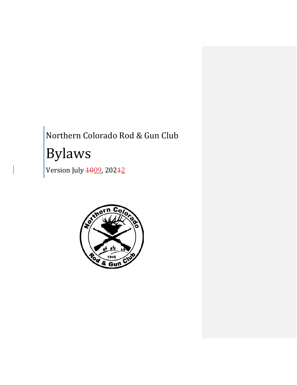# Northern Colorado Rod & Gun Club Bylaws

Version July <del>1009</del>, 202<del>1</del>2

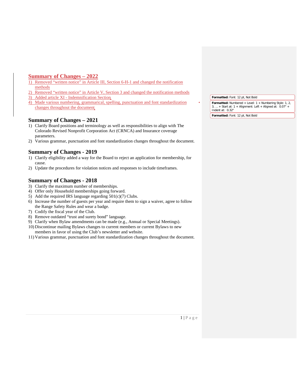# <span id="page-1-0"></span>**Summary of Changes – 2022**

- 1) Removed "written notice" in Article III, Section 6-H-1 and changed the notification methods
- 2) Removed "written notice" in Article V, Section 3 and changed the notification methods
- 3) Added article XI Indemnification Section
- 4) Made various numbering, grammarical, spelling, punctuation and font standardization changes throughout the document

# **Summary of Changes – 2021**

- 1) Clarify Board positions and terminology as well as responsibilities to align with The Colorado Revised Nonprofit Corporation Act (CRNCA) and Insurance coverage parameters.
- 2) Various grammar, punctuation and font standardization changes throughout the document.

# **Summary of Changes - 2019**

- 1) Clarify eligibility added a way for the Board to reject an application for membership, for cause.
- 2) Update the procedures for violation notices and responses to include timeframes.

# **Summary of Changes - 2018**

- 3) Clarify the maximum number of memberships.
- 4) Offer only Household memberships going forward.
- 5) Add the required IRS language regarding 501(c)(7) Clubs.
- 6) Increase the number of guests per year and require them to sign a waiver, agree to follow the Range Safety Rules and wear a badge.
- 7) Codify the fiscal year of the Club.
- 8) Remove outdated "trust and surety bond" language.
- 9) Clarify when Bylaw amendments can be made (e.g., Annual or Special Meetings).
- 10) Discontinue mailing Bylaws changes to current members or current Bylaws to new members in favor of using the Club's newsletter and website.
- 11) Various grammar, punctuation and font standardization changes throughout the document.

**Formatted:** Font: 12 pt, Not Bold **Formatted:** Numbered + Level: 1 + Numbering Style: 1, 2, 3, … + Start at: 1 + Alignment: Left + Aligned at: 0.07" + Indent at: 0.32"

**Formatted:** Font: 12 pt, Not Bold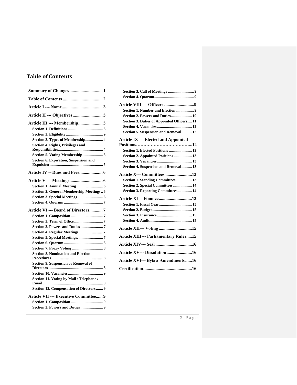# <span id="page-2-0"></span>**Table of Contents**

| Article III --- Membership 3                    |  |
|-------------------------------------------------|--|
|                                                 |  |
|                                                 |  |
| Section 3. Types of Membership 4                |  |
| <b>Section 4. Rights, Privileges and</b>        |  |
| Section 5. Voting Membership 5                  |  |
| Section 6. Expiration, Suspension and           |  |
|                                                 |  |
|                                                 |  |
|                                                 |  |
|                                                 |  |
| <b>Section 2. General Membership Meetings 6</b> |  |
|                                                 |  |
|                                                 |  |
| Article VI --- Board of Directors7              |  |
|                                                 |  |
|                                                 |  |
|                                                 |  |
|                                                 |  |
|                                                 |  |
|                                                 |  |
|                                                 |  |
| <b>Section 8. Nomination and Election</b>       |  |
|                                                 |  |
| <b>Section 9. Suspension or Removal of</b>      |  |
|                                                 |  |
| Section 11. Voting by Mail / Telephone /        |  |
| Section 12. Compensation of Directors 9         |  |
| <b>Article VII --- Executive Committee 9</b>    |  |
|                                                 |  |
|                                                 |  |
|                                                 |  |

| <b>Article VIII --- Officers </b> 9<br>Section 1. Number and Election9<br><b>Section 2. Powers and Duties10</b><br><b>Section 3. Duties of Appointed Officers11</b><br>Section 5. Suspension and Removal12<br><b>Article IX --- Elected and Appointed</b><br>Section 1. Elected Positions 13<br>Section 2. Appointed Positions  13<br>Section 4. Suspension and Removal13<br><b>Article X--- Committees 13</b><br>Section 1. Standing Committees 13<br>Section 2. Special Committees 14<br>Section 3. Reporting Committees 14<br>Article XI--- Finance13<br>Article XII--- Voting 15<br>Article XIII--- Parliamentary Rules15<br>Article XV--- Dissolution16<br><b>Article XVI--- Bylaw Amendments16</b> |  |
|----------------------------------------------------------------------------------------------------------------------------------------------------------------------------------------------------------------------------------------------------------------------------------------------------------------------------------------------------------------------------------------------------------------------------------------------------------------------------------------------------------------------------------------------------------------------------------------------------------------------------------------------------------------------------------------------------------|--|
|                                                                                                                                                                                                                                                                                                                                                                                                                                                                                                                                                                                                                                                                                                          |  |
|                                                                                                                                                                                                                                                                                                                                                                                                                                                                                                                                                                                                                                                                                                          |  |
|                                                                                                                                                                                                                                                                                                                                                                                                                                                                                                                                                                                                                                                                                                          |  |
|                                                                                                                                                                                                                                                                                                                                                                                                                                                                                                                                                                                                                                                                                                          |  |
|                                                                                                                                                                                                                                                                                                                                                                                                                                                                                                                                                                                                                                                                                                          |  |
|                                                                                                                                                                                                                                                                                                                                                                                                                                                                                                                                                                                                                                                                                                          |  |
|                                                                                                                                                                                                                                                                                                                                                                                                                                                                                                                                                                                                                                                                                                          |  |
|                                                                                                                                                                                                                                                                                                                                                                                                                                                                                                                                                                                                                                                                                                          |  |
|                                                                                                                                                                                                                                                                                                                                                                                                                                                                                                                                                                                                                                                                                                          |  |
|                                                                                                                                                                                                                                                                                                                                                                                                                                                                                                                                                                                                                                                                                                          |  |
|                                                                                                                                                                                                                                                                                                                                                                                                                                                                                                                                                                                                                                                                                                          |  |
|                                                                                                                                                                                                                                                                                                                                                                                                                                                                                                                                                                                                                                                                                                          |  |
|                                                                                                                                                                                                                                                                                                                                                                                                                                                                                                                                                                                                                                                                                                          |  |
|                                                                                                                                                                                                                                                                                                                                                                                                                                                                                                                                                                                                                                                                                                          |  |
|                                                                                                                                                                                                                                                                                                                                                                                                                                                                                                                                                                                                                                                                                                          |  |
|                                                                                                                                                                                                                                                                                                                                                                                                                                                                                                                                                                                                                                                                                                          |  |
|                                                                                                                                                                                                                                                                                                                                                                                                                                                                                                                                                                                                                                                                                                          |  |
|                                                                                                                                                                                                                                                                                                                                                                                                                                                                                                                                                                                                                                                                                                          |  |
|                                                                                                                                                                                                                                                                                                                                                                                                                                                                                                                                                                                                                                                                                                          |  |
|                                                                                                                                                                                                                                                                                                                                                                                                                                                                                                                                                                                                                                                                                                          |  |
|                                                                                                                                                                                                                                                                                                                                                                                                                                                                                                                                                                                                                                                                                                          |  |
|                                                                                                                                                                                                                                                                                                                                                                                                                                                                                                                                                                                                                                                                                                          |  |
|                                                                                                                                                                                                                                                                                                                                                                                                                                                                                                                                                                                                                                                                                                          |  |
|                                                                                                                                                                                                                                                                                                                                                                                                                                                                                                                                                                                                                                                                                                          |  |
|                                                                                                                                                                                                                                                                                                                                                                                                                                                                                                                                                                                                                                                                                                          |  |
|                                                                                                                                                                                                                                                                                                                                                                                                                                                                                                                                                                                                                                                                                                          |  |
|                                                                                                                                                                                                                                                                                                                                                                                                                                                                                                                                                                                                                                                                                                          |  |
|                                                                                                                                                                                                                                                                                                                                                                                                                                                                                                                                                                                                                                                                                                          |  |
|                                                                                                                                                                                                                                                                                                                                                                                                                                                                                                                                                                                                                                                                                                          |  |

 $2 | P \text{ a } g \text{ e }$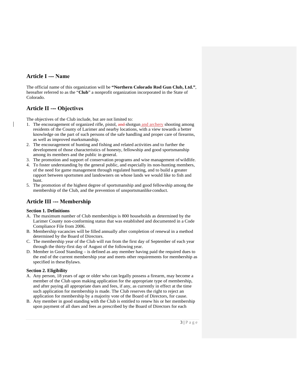# <span id="page-3-0"></span>**Article I -‐ Name**

The official name of this organization will be **"Northern Colorado Rod Gun Club, Ltd."**, hereafter referred to as the "**Club**" a nonprofit organization incorporated in the State of Colorado.

# <span id="page-3-1"></span>**Article II -‐ Objectives**

The objectives of the Club include, but are not limited to:

- 1. The encouragement of organized rifle, pistol, and shotgun and archery shooting among residents of the County of Larimer and nearby locations, with a view towards a better knowledge on the part of such persons of the safe handling and proper care of firearms, as well as improved marksmanship.
- 2. The encouragement of hunting and fishing and related activities and to further the development of those characteristics of honesty, fellowship and good sportsmanship among its members and the public in general.
- 3. The promotion and support of conservation programs and wise management of wildlife.
- 4. To foster understanding by the general public, and especially its non-hunting members, of the need for game management through regulated hunting, and to build a greater rapport between sportsmen and landowners on whose lands we would like to fish and hunt.
- 5. The promotion of the highest degree of sportsmanship and good fellowship among the membership of the Club, and the prevention of unsportsmanlike conduct.

# <span id="page-3-2"></span>**Article III -‐ Membership**

## <span id="page-3-3"></span>**Section 1. Definitions**

- A. The maximum number of Club memberships is 800 households as determined by the Larimer County non-conforming status that was established and documented in a Code Compliance File from 2006.
- B. Membership vacancies will be filled annually after completion of renewal in a method determined by the Board of Directors.
- C. The membership year of the Club will run from the first day of September of each year through the thirty-first day of August of the following year.
- D. Member in Good Standing is defined as any member having paid the required dues to the end of the current membership year and meets other requirements for membership as specified in these Bylaws.

## <span id="page-3-4"></span>**Section 2. Eligibility**

- A. Any person, 18 years of age or older who can legally possess a firearm, may become a member of the Club upon making application for the appropriate type of membership, and after paying all appropriate dues and fees, if any, as currently in effect at the time such application for membership is made. The Club reserves the right to reject an application for membership by a majority vote of the Board of Directors, for cause.
- B. Any member in good standing with the Club is entitled to renew his or her membership upon payment of all dues and fees as prescribed by the Board of Directors for each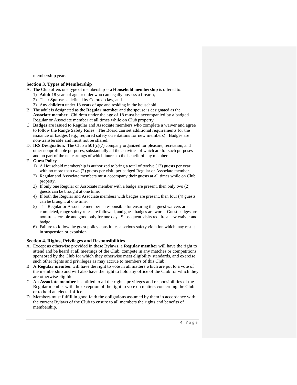membership year.

## <span id="page-4-0"></span>**Section 3. Types of Membership**

- A. The Club offers one type of membership -- a **Household membership** is offered to:
	- 1) **Adult** 18 years of age or older who can legally possess a firearm,
	- 2) Their **Spouse** as defined by Colorado law, and
	- 3) Any **children** under 18 years of age and residing in the household.
- B. The adult is designated as the **Regular member** and the spouse is designated as the **Associate member**. Children under the age of 18 must be accompanied by a badged Regular or Associate member at all times while on Club property.
- C. **Badges** are issued to Regular and Associate members who complete a waiver and agree to follow the Range Safety Rules. The Board can set additional requirements for the issuance of badges (e.g., required safety orientations for new members). Badges are non-transferable and must not be shared.
- D. **IRS Designation.** The Club a 501(c)(7) company organized for pleasure, recreation, and other nonprofitable purposes, substantially all the activities of which are for such purposes and no part of the net earnings of which inures to the benefit of any member.

#### E. **Guest Policy**

- 1) A Household membership is authorized to bring a total of twelve (12) guests per year with no more than two (2) guests per visit, per badged Regular or Associate member.
- 2) Regular and Associate members must accompany their guests at all times while on Club property.
- 3) If only one Regular or Associate member with a badge are present, then only two (2) guests can be brought at one time.
- 4) If both the Regular and Associate members with badges are present, then four (4) guests can be brought at one time.
- 5) The Regular or Associate member is responsible for ensuring that guest waivers are completed, range safety rules are followed, and guest badges are worn. Guest badges are non-transferrable and good only for one day. Subsequent visits require a new waiver and badge.
- 6) Failure to follow the guest policy constitutes a serious safety violation which may result in suspension or expulsion.

## <span id="page-4-1"></span>**Section 4. Rights, Privileges and Responsibilities**

- A. Except as otherwise provided in these Bylaws, a **Regular member** will have the right to attend and be heard at all meetings of the Club, compete in any matches or competitions sponsored by the Club for which they otherwise meet eligibility standards, and exercise such other rights and privileges as may accrue to members of this Club.
- B. A **Regular member** will have the right to vote in all matters which are put to a vote of the membership and will also have the right to hold any office of the Club for which they are otherwise eligible.
- C. An **Associate member** is entitled to all the rights, privileges and responsibilities of the Regular member with the exception of the right to vote on matters concerning the Club or to hold an electedoffice.
- D. Members must fulfill in good faith the obligations assumed by them in accordance with the current Bylaws of the Club to ensure to all members the rights and benefits of membership.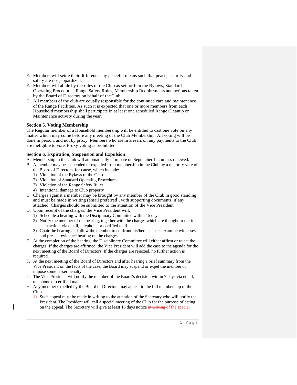- E. Members will settle their differences by peaceful means such that peace, security and safety are not jeopardized.
- F. Members will abide by the rules of the Club as set forth in the Bylaws, Standard Operating Procedures, Range Safety Rules, Membership Requirements and actions taken by the Board of Directors on behalf of theClub.
- G. All members of the club are equally responsible for the continued care and maintenance of the Range Facilities. As such it is expected that one or more members from each Household membership shall participate in at least one scheduled Range Cleanup or Maintenance activity during the year.

# <span id="page-5-0"></span>**Section 5. Voting Membership**

The Regular member of a Household membership will be entitled to cast one vote on any matter which may come before any meeting of the Club Membership. All voting will be done in person, and not by proxy. Members who are in arrears on any payments to the Club are ineligible to vote. Proxy voting is prohibited.

# <span id="page-5-1"></span>**Section 6. Expiration, Suspension and Expulsion**

- A. Membership in the Club will automatically terminate on September 1st, unless renewed.
- B. A member may be suspended or expelled from membership in the Club by a majority vote of the Board of Directors, for cause, which include:
	- 1) Violation of the Bylaws of the Club
	- 2) Violation of Standard Operating Procedures
	- 3) Violation of the Range Safety Rules
	- 4) Intentional damage to Club property
- C. Charges against a member may be brought by any member of the Club in good standing and must be made in writing (email preferred), with supporting documents, if any, attached. Charges should be submitted to the attention of the Vice President.
- D. Upon receipt of the charges, the Vice President will:
	- 1) Schedule a hearing with the Disciplinary Committee within 15 days.
	- 2) Notify the member of the hearing, together with the charges which are thought to merit such action, via email, telephone or certified mail.
	- 3) Chair the hearing and allow the member to confront his/her accusers, examine witnesses, and present evidence bearing on the charges.
- E. At the completion of the hearing, the Disciplinary Committee will either affirm or reject the charges. If the charges are affirmed, the Vice President will add the case to the agenda for the next meeting of the Board of Directors. If the charges are rejected, no further action is required.
- F. At the next meeting of the Board of Directors and after hearing a brief summary from the Vice President on the facts of the case, the Board may suspend or expel the member or impose some lesser penalty.
- G. The Vice President will notify the member of the Board's decision within 7 days via email, telephone or certified mail.
- H. Any member expelled by the Board of Directors may appeal to the full membership of the Club.
	- 1) Such appeal must be made in writing to the attention of the Secretary who will notify the President. The President will call a special meeting of the Club for the purpose of acting on the appeal. The Secretary will give at least 15 days notice in writing of the special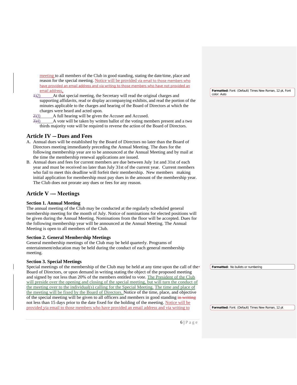meeting to all members of the Club in good standing, stating the date/time, place and reason for the special meeting. Notice will be provided via email to those members who have provided an email address and via writing to those members who have not provided an email address.

- 1)2) At that special meeting, the Secretary will read the original charges and supporting affidavits, read or display accompanying exhibits, and read the portion of the minutes applicable to the charges and hearing of the Board of Directors at which the charges were heard and acted upon.
- 2)3) A full hearing will be given the Accuser and Accused.
- 3)4) A vote will be taken by written ballot of the voting members present and a two thirds majority vote will be required to reverse the action of the Board of Directors.

# <span id="page-6-0"></span>**Article IV -‐ Dues and Fees**

- A. Annual dues will be established by the Board of Directors no later than the Board of Directors meeting immediately preceding the Annual Meeting. The dues for the following membership year are to be announced at the Annual Meeting and by mail at the time the membership renewal applications are issued.
- B. Annual dues and fees for current members are due between July 1st and 31st of each year and must be received no later than July 31st of the current year. Current members who fail to meet this deadline will forfeit their membership. New members making initial application for membership must pay dues in the amount of the membership year. The Club does not prorate any dues or fees for any reason.

# <span id="page-6-1"></span>**Article V -‐ Meetings**

# <span id="page-6-2"></span>**Section 1. Annual Meeting**

The annual meeting of the Club may be conducted at the regularly scheduled general membership meeting for the month of July. Notice of nominations for elected positions will be given during the Annual Meeting. Nominations from the floor will be accepted. Dues for the following membership year will be announced at the Annual Meeting. The Annual Meeting is open to all members of the Club.

## <span id="page-6-3"></span>**Section 2. General Membership Meetings**

General membership meetings of the Club may be held quarterly. Programs of entertainment/education may be held during the conduct of each general membership meeting.

# <span id="page-6-4"></span>**Section 3. Special Meetings**

Special meetings of the membership of the Club may be held at any time upon the call of the Board of Directors, or upon demand in writing stating the object of the proposed meeting and signed by not less than 20% of the members entitled to vote. The President of the Club will preside over the opening and closing of the special meeting, but will turn the conduct of the meeting over to the individual(s) calling for the Special Meeting. The time and place of the meeting will be fixed by the Board of Directors. Notice of the time, place, and objective of the special meeting will be given to all officers and members in good standing in writing not less than 15 days prior to the date fixed for the holding of the meeting. Notice will be provided via email to those members who have provided an email address and via writing to

**Formatted:** Font: (Default) Times New Roman, 12 pt, Font color: Auto

**Formatted:** No bullets or numbering

**Formatted:** Font: (Default) Times New Roman, 12 pt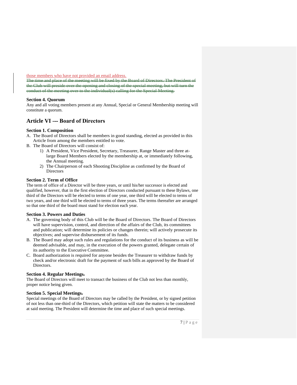those members who have not provided an email address.

The time and place of the meeting will be fixed by the Be the Club will preside over the opening and closing of the special meeting, but will turn the conduct of the meeting over to the individual(s) calling for the Special Meeting.

## <span id="page-7-0"></span>**Section 4. Quorum**

Any and all voting members present at any Annual, Special or General Membership meeting will constitute a quorum.

# <span id="page-7-1"></span>**Article VI -‐ Board of Directors**

# <span id="page-7-2"></span>**Section 1. Composition**

- A. The Board of Directors shall be members in good standing, elected as provided in this Article from among the members entitled to vote.
- B. The Board of Directors will consist of:
	- 1) A President, Vice President, Secretary, Treasurer, Range Master and three atlarge Board Members elected by the membership at, or immediately following, the Annual meeting.
	- 2) The Chairperson of each Shooting Discipline as confirmed by the Board of **Directors**

## <span id="page-7-3"></span>**Section 2. Term of Office**

The term of office of a Director will be three years, or until his/her successor is elected and qualified, however, that in the first election of Directors conducted pursuant to these Bylaws, one third of the Directors will be elected to terms of one year, one third will be elected to terms of two years, and one third will be elected to terms of three years. The terms thereafter are arranged so that one third of the board must stand for election each year.

## <span id="page-7-4"></span>**Section 3. Powers and Duties**

- A. The governing body of this Club will be the Board of Directors. The Board of Directors will have supervision, control, and direction of the affairs of the Club, its committees and publication; will determine its policies or changes therein; will actively prosecute its objectives; and supervise disbursement of its funds.
- B. The Board may adopt such rules and regulations for the conduct of its business as will be deemed advisable, and may, in the execution of the powers granted, delegate certain of its authority to the Executive Committee.
- C. Board authorization is required for anyone besides the Treasurer to withdraw funds by check and/or electronic draft for the payment of such bills as approved by the Board of Directors.

# <span id="page-7-5"></span>**Section 4. Regular Meetings.**

The Board of Directors will meet to transact the business of the Club not less than monthly, proper notice being given.

## <span id="page-7-6"></span>**Section 5. Special Meetings.**

Special meetings of the Board of Directors may be called by the President, or by signed petition of not less than one-third of the Directors, which petition will state the matters to be considered at said meeting. The President will determine the time and place of such special meetings.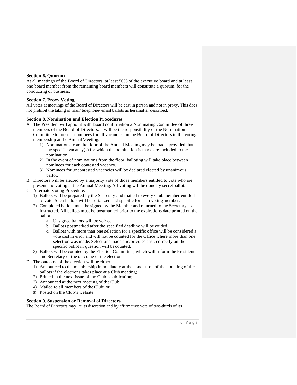#### <span id="page-8-0"></span>**Section 6. Quorum**

At all meetings of the Board of Directors, at least 50% of the executive board and at least one board member from the remaining board members will constitute a quorum, for the conducting of business.

## <span id="page-8-1"></span>**Section 7. Proxy Voting**

All votes at meetings of the Board of Directors will be cast in person and not in proxy. This does not prohibit the taking of mail/ telephone/ email ballots as hereinafter described.

#### <span id="page-8-2"></span>**Section 8. Nomination and Election Procedures**

- A. The President will appoint with Board confirmation a Nominating Committee of three members of the Board of Directors. It will be the responsibility of the Nomination Committee to present nominees for all vacancies on the Board of Directors to the voting membership at the Annual Meeting.
	- 1) Nominations from the floor of the Annual Meeting may be made, provided that the specific vacancy(s) for which the nomination is made are included in the nomination.
	- 2) In the event of nominations from the floor, balloting will take place between nominees for each contested vacancy.
	- 3) Nominees for uncontested vacancies will be declared elected by unanimous ballot.
- B. Directors will be elected by a majority vote of those members entitled to vote who are present and voting at the Annual Meeting. All voting will be done by secret ballot.
- C. Alternate Voting Procedure.
	- 1) Ballots will be prepared by the Secretary and mailed to every Club member entitled to vote. Such ballots will be serialized and specific for each votingmember.
	- 2) Completed ballots must be signed by the Member and returned to the Secretary as instructed. All ballots must be postmarked prior to the expirations date printed on the ballot.
		- a. Unsigned ballots will be voided.
		- b. Ballots postmarked after the specified deadline will be voided.
		- c. Ballots with more than one selection for a specific office will be considered a vote cast in error and will not be counted for the Office where more than one selection was made. Selections made and/or votes cast, correctly on the specific ballot in question will be counted.
	- 3) Ballots will be counted by the Election Committee, which will inform the President and Secretary of the outcome of the election.
- D. The outcome of the election will be either:
	- 1) Announced to the membership immediately at the conclusion of the counting of the ballots if the elections takes place at a Club meeting;
	- 2) Printed in the next issue of the Club's publication;
	- 3) Announced at the next meeting of the Club;
	- 4) Mailed to all members of the Club; or
	- 5) Posted on the Club's website.

## <span id="page-8-3"></span>**Section 9. Suspension or Removal of Directors**

The Board of Directors may, at its discretion and by affirmative vote of two-thirds of its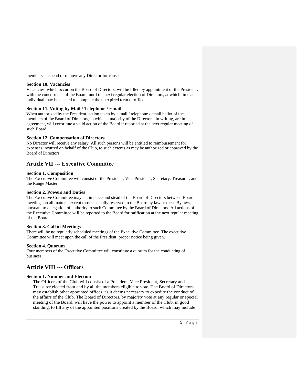members, suspend or remove any Director for cause.

## <span id="page-9-0"></span>**Section 10. Vacancies**

Vacancies, which occur on the Board of Directors, will be filled by appointment of the President, with the concurrence of the Board, until the next regular election of Directors, at which time an individual may be elected to complete the unexpired term of office.

# <span id="page-9-1"></span>**Section 11. Voting by Mail / Telephone / Email**

When authorized by the President, action taken by a mail / telephone / email ballot of the members of the Board of Directors, in which a majority of the Directors, in writing, are in agreement, will constitute a valid action of the Board if reported at the next regular meeting of such Board.

# <span id="page-9-2"></span>**Section 12. Compensation of Directors**

No Director will receive any salary. All such persons will be entitled to reimbursement for expenses incurred on behalf of the Club, to such extents as may be authorized or approved by the Board of Directors.

# <span id="page-9-3"></span>**Article VII -‐ Executive Committee**

## <span id="page-9-4"></span>**Section 1. Composition**

The Executive Committee will consist of the President, Vice President, Secretary, Treasurer, and the Range Master.

## <span id="page-9-5"></span>**Section 2. Powers and Duties**

The Executive Committee may act in place and stead of the Board of Directors between Board meetings on all matters, except those specially reserved to the Board by law or these Bylaws, pursuant to delegation of authority to such Committee by the Board of Directors. All actions of the Executive Committee will be reported to the Board for ratification at the next regular meeting of the Board.

## <span id="page-9-6"></span>**Section 3. Call of Meetings**

There will be no regularly scheduled meetings of the Executive Committee. The executive Committee will meet upon the call of the President, proper notice being given.

## <span id="page-9-7"></span>**Section 4. Quorum**

Four members of the Executive Committee will constitute a quorum for the conducting of business.

# <span id="page-9-8"></span>**Article VIII -‐ Officers**

# <span id="page-9-9"></span>**Section 1. Number and Election**

The Officers of the Club will consist of a President, Vice President, Secretary and Treasurer elected from and by all the members eligible to vote. The Board of Directors may establish other appointed offices, as it deems necessary to expedite the conduct of the affairs of the Club. The Board of Directors, by majority vote at any regular or special meeting of the Board, will have the power to appoint a member of the Club, in good standing, to fill any of the appointed positions created by the Board, which may include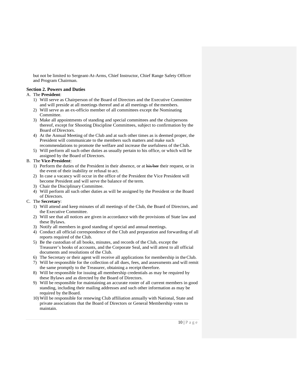but not be limited to Sergeant-At-Arms, Chief Instructor, Chief Range Safety Officer and Program Chairman.

# <span id="page-10-0"></span>**Section 2. Powers and Duties**

## A. The **President**:

- 1) Will serve as Chairperson of the Board of Directors and the Executive Committee and will preside at all meetings thereof and at all meetings of themembers.
- 2) Will serve as an ex-officio member of all committees except the Nominating Committee.
- 3) Make all appointments of standing and special committees and the chairpersons thereof, except for Shooting Discipline Committees, subject to confirmation by the Board of Directors.
- 4) At the Annual Meeting of the Club and at such other times as is deemed proper, the President will communicate to the members such matters and make such recommendations to promote the welfare and increase the usefulness of theClub.
- 5) Will perform all such other duties as usually pertain to his office, or which will be assigned by the Board of Directors.

# B. The **Vice-President**:

- 1) Perform the duties of the President in their absence, or at his/her their request, or in the event of their inability or refusal to act.
- 2) In case a vacancy will occur in the office of the President the Vice President will become President and will serve the balance of the term.
- 3) Chair the Disciplinary Committee.
- 4) Will perform all such other duties as will be assigned by the President or the Board of Directors.

# C. The **Secretary**:

- 1) Will attend and keep minutes of all meetings of the Club, the Board of Directors, and the Executive Committee.
- 2) Will see that all notices are given in accordance with the provisions of State law and these Bylaws.
- 3) Notify all members in good standing of special and annual meetings.
- 4) Conduct all official correspondence of the Club and preparation and forwarding of all reports required of the Club.
- 5) Be the custodian of all books, minutes, and records of the Club, except the Treasurer's books of accounts, and the Corporate Seal, and will attest to all official documents and resolutions of the Club.
- 6) The Secretary or their agent will receive all applications for membership in theClub.
- 7) Will be responsible for the collection of all dues, fees, and assessments and will remit the same promptly to the Treasurer, obtaining a receipt therefore.
- 8) Will be responsible for issuing all membership credentials as may be required by these Bylaws and as directed by the Board of Directors.
- 9) Will be responsible for maintaining an accurate roster of all current members in good standing, including their mailing addresses and such other information as may be required by the Board.
- 10) Will be responsible for renewing Club affiliation annually with National, State and private associations that the Board of Directors or General Membership votes to maintain.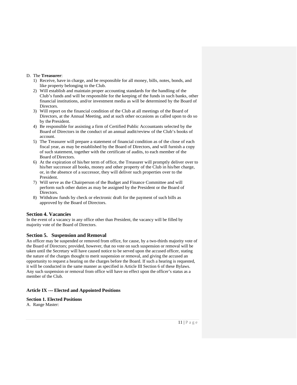#### D. The **Treasurer**:

- 1) Receive, have in charge, and be responsible for all money, bills, notes, bonds, and like property belonging to the Club.
- 2) Will establish and maintain proper accounting standards for the handling of the Club's funds and will be responsible for the keeping of the funds in such banks, other financial institutions, and/or investment media as will be determined by the Board of Directors.
- 3) Will report on the financial condition of the Club at all meetings of the Board of Directors, at the Annual Meeting, and at such other occasions as called upon to do so by the President.
- 4) Be responsible for assisting a firm of Certified Public Accountants selected by the Board of Directors in the conduct of an annual audit/review of the Club's books of account.
- 5) The Treasurer will prepare a statement of financial condition as of the close of each fiscal year, as may be established by the Board of Directors, and will furnish a copy of such statement, together with the certificate of audits, to each member of the Board of Directors.
- 6) At the expiration of his/her term of office, the Treasurer will promptly deliver over to his/her successor all books, money and other property of the Club in his/her charge, or, in the absence of a successor, they will deliver such properties over to the President.
- 7) Will serve as the Chairperson of the Budget and Finance Committee and will perform such other duties as may be assigned by the President or the Board of Directors.
- 8) Withdraw funds by check or electronic draft for the payment of such bills as approved by the Board of Directors.

# **Section 4. Vacancies**

In the event of a vacancy in any office other than President, the vacancy will be filled by majority vote of the Board of Directors.

# **Section 5. Suspension and Removal**

An officer may be suspended or removed from office, for cause, by a two-thirds majority vote of the Board of Directors; provided, however, that no vote on such suspension or removal will be taken until the Secretary will have caused notice to be served upon the accused officer, stating the nature of the charges thought to merit suspension or removal, and giving the accused an opportunity to request a hearing on the charges before the Board. If such a hearing is requested, it will be conducted in the same manner as specified in Article III Section 6 of these Bylaws. Any such suspension or removal from office will have no effect upon the officer's status as a member of the Club.

## <span id="page-11-0"></span>**Article IX -‐ Elected and Appointed Positions**

**Section 1. Elected Positions**

A. Range Master: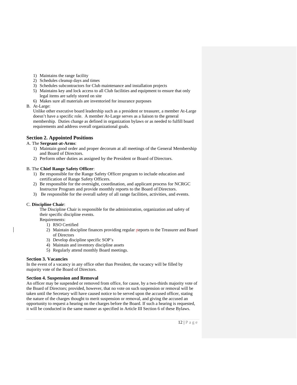- 1) Maintains the range facility
- 2) Schedules cleanup days and times
- 3) Schedules subcontractors for Club maintenance and installation projects
- 5) Maintains key and lock access to all Club facilities and equipment to ensure that only legal items are safely stored on site
- 6) Makes sure all materials are inventoried for insurance purposes

B. At-Large:

Unlike other executive board leadership such as a president or treasurer, a member At-Large doesn't have a specific role. A member At-Large serves as a liaison to the general membership. Duties change as defined in organization bylaws or as needed to fulfill board requirements and address overall organizational goals.

# **Section 2. Appointed Positions**

## A. The **Sergeant-at-Arms**:

- 1) Maintain good order and proper decorum at all meetings of the General Membership and Board of Directors.
- 2) Perform other duties as assigned by the President or Board of Directors.

#### B. The **Chief Range Safety Officer**:

- 1) Be responsible for the Range Safety Officer program to include education and certification of Range Safety Officers.
- 2) Be responsible for the oversight, coordination, and applicant process for NCRGC Instructor Program and provide monthly reports to the Board of Directors.
- 3) Be responsible for the overall safety of all range facilities, activities, and events.

## <span id="page-12-0"></span>C. **Discipline Chair**:

The Discipline Chair is responsible for the administration, organization and safety of their specific discipline events.

Requirements:

- 1) RSO Certified
- 2) Maintain discipline finances providing regular resports to the Treasurer and Board of Directors
- 3) Develop discipline specific SOP's
- 4) Maintain and inventory discipline assets
- 5) Regularly attend monthly Board meetings.

## **Section 3. Vacancies**

In the event of a vacancy in any office other than President, the vacancy will be filled by majority vote of the Board of Directors.

## <span id="page-12-1"></span>**Section 4. Suspension and Removal**

An officer may be suspended or removed from office, for cause, by a two-thirds majority vote of the Board of Directors; provided, however, that no vote on such suspension or removal will be taken until the Secretary will have caused notice to be served upon the accused officer, stating the nature of the charges thought to merit suspension or removal, and giving the accused an opportunity to request a hearing on the charges before the Board. If such a hearing is requested, it will be conducted in the same manner as specified in Article III Section 6 of these Bylaws.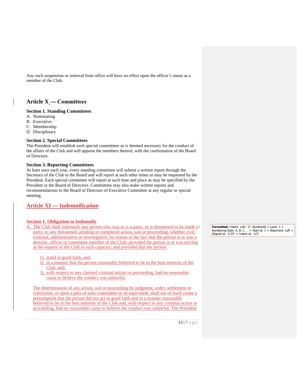Any such suspension or removal from office will have no effect upon the officer's status as a member of the Club.

# <span id="page-13-3"></span>**Article X -‐ Committees**

## <span id="page-13-0"></span>**Section 1. Standing Committees**

- A. Nominating
- B. Executive
- C. Membership
- D. Disciplinary

# <span id="page-13-1"></span>**Section 2. Special Committees**

The President will establish such special committees as is deemed necessary for the conduct of the affairs of the Club and will appoint the members thereof, with the confirmation of the Board of Directors.

## <span id="page-13-2"></span>**Section 3. Reporting Committees**

At least once each year, every standing committee will submit a written report through the Secretary of the Club to the Board and will report at such other times as may be requested by the President. Each special committee will report at such time and place as may be specified by the President or the Board of Directors. Committees may also make written reports and recommendations to the Board of Directors of Executive Committee at any regular or special meeting.

# <span id="page-13-4"></span>**Article XI -‐ Indemnification**

## **Section 1. Obligation to Indemnify**

A. The Club shall indemnify any person who was or is a party, or is threatened to be made a party, to any threatened, pending or completed action, suit or proceeding, whether civil, criminal, administrative or investigative; by reason of the fact that the person is or was a director, officer or committee member of the Club; provided the person is or was serving at the request of the Club in such capacity; and provided that the person:

- 1) acted in good faith, and;
- 2) in a manner that the person reasonably believed to be in the best interests of the Club, and;
- 3) with respect to any claimed criminal action or proceeding, had no reasonable cause to believe the conduct was unlawful.

The determination of any action, suit or proceeding by judgment, order, settlement or conviction, or upon a plea of nolo contendere or its equivalent, shall not of itself create a presumption that the person did not act in good faith and in a manner reasonably believed to be in the best interests of the Club and, with respect to any criminal action or proceeding, had no reasonable cause to believe the conduct was unlawful. The President

**Formatted:** Indent: Left: 0", Numbered + Level: 1 + Numbering Style: A, B, C, … + Start at: 1 + Alignment: Left + Aligned at: 0.25" + Indent at: 0.5"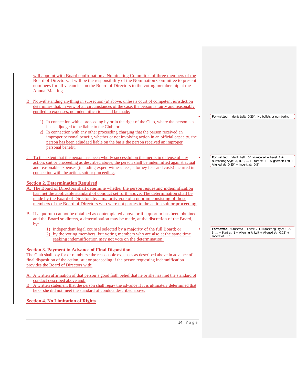will appoint with Board confirmation a Nominating Committee of three members of the Board of Directors. It will be the responsibility of the Nomination Committee to present nominees for all vacancies on the Board of Directors to the voting membership at the Annual Meeting.

- B. Notwithstanding anything in subsection (a) above, unless a court of competent jurisdiction determines that, in view of all circumstances of the case, the person is fairly and reasonably entitled to expenses, no indemnification shall be made:
	- 1) In connection with a proceeding by or in the right of the Club, where the person has been adjudged to be liable to the Club; or
	- 2) In connection with any other proceeding charging that the person received an improper personal benefit, whether or not involving action in an official capacity, the person has been adjudged liable on the basis the person received an improper personal benefit.
- C. To the extent that the person has been wholly successful on the merits in defense of any action, suit or proceeding as described above, the person shall be indemnified against actual and reasonable expenses (including expert witness fees, attorney fees and costs) incurred in connection with the action, suit or proceeding.

# **Section 2. Determination Required**

- A. The Board of Directors shall determine whether the person requesting indemnification has met the applicable standard of conduct set forth above. The determination shall be made by the Board of Directors by a majority vote of a quorum consisting of those members of the Board of Directors who were not parties to the action suit or proceeding.
- B. If a quorum cannot be obtained as contemplated above or if a quorum has been obtained and the Board so directs, a determination may be made, at the discretion of the Board, by:
	- 1) independent legal counsel selected by a majority of the full Board; or
	- 2) by the voting members, but voting members who are also at the same time seeking indemnification may not vote on the determination.

# **Section 3. Payment in Advance of Final Disposition**

The Club shall pay for or reimburse the reasonable expenses as described above in advance of final disposition of the action, suit or proceeding if the person requesting indemnification provides the Board of Directors with:

- A. A written affirmation of that person's good faith belief that he or she has met the standard of conduct described above and;
- B. A written statement that the person shall repay the advance if it is ultimately determined that he or she did not meet the standard of conduct described above.

# **Section 4. No Limitation of Rights**

**Formatted:** Indent: Left: 0.25", No bullets or numbering

**Formatted:** Indent: Left: 0", Numbered + Level: 1 + Numbering Style: A, B, C, … + Start at: 1 + Alignment: Left + Aligned at: 0.25" + Indent at: 0.5"

**Formatted:** Numbered + Level: 2 + Numbering Style: 1, 2,  $3, ...$  + Start at: 1 + Alignment: Left + Aligned at:  $0.75"$  + Indent at: 1"

14 | Page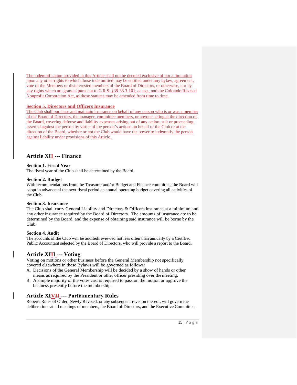The indemnification provided in this Article shall not be deemed exclusive of nor a limitation upon any other rights to which those indemnified may be entitled under any bylaw, agreement, vote of the Members or disinterested members of the Board of Directors, or otherwise, nor by any rights which are granted pursuant to C.R.S. §38-33.3-101, *et seq*., and the Colorado Revised Nonprofit Corporation Act, as those statutes may be amended from time to time.

#### **Section 5. Directors and Officers Insurance**

The Club shall purchase and maintain insurance on behalf of any person who is or was a member of the Board of Directors, the manager, committee members, or anyone acting at the direction of the Board, covering defense and liability expenses arising out of any action, suit or proceeding asserted against the person by virtue of the person's actions on behalf of the Club or at the direction of the Board, whether or not the Club would have the power to indemnify the person against liability under provisions of this Article.

# **Article XII -‐ Finance**

## <span id="page-15-0"></span>**Section 1. Fiscal Year**

The fiscal year of the Club shall be determined by the Board.

#### <span id="page-15-1"></span>**Section 2. Budget**

With recommendations from the Treasurer and/or Budget and Finance committee, the Board will adopt in advance of the next fiscal period an annual operating budget covering all activities of the Club.

#### <span id="page-15-2"></span>**Section 3. Insurance**

The Club shall carry General Liability and Directors & Officers insurance at a minimum and any other insurance required by the Board of Directors. The amounts of insurance are to be determined by the Board, and the expense of obtaining said insurance will be borne by the Club.

#### <span id="page-15-3"></span>**Section 4. Audit**

The accounts of the Club will be audited/reviewed not less often than annually by a Certified Public Accountant selected by the Board of Directors, who will provide a report to the Board.

# <span id="page-15-4"></span>**Article XIII -‐ Voting**

Voting on motions or other business before the General Membership not specifically covered elsewhere in these Bylaws will be governed as follows:

- A. Decisions of the General Membership will be decided by a show of hands or other means as required by the President or other officer presiding over themeeting.
- B. A simple majority of the votes cast is required to pass on the motion or approve the business presently before the membership.

# <span id="page-15-5"></span>**Article XIVII -‐ Parliamentary Rules**

Roberts Rules of Order, Newly Revised, or any subsequent revision thereof, will govern the deliberations at all meetings of members, the Board of Directors, and the Executive Committee,